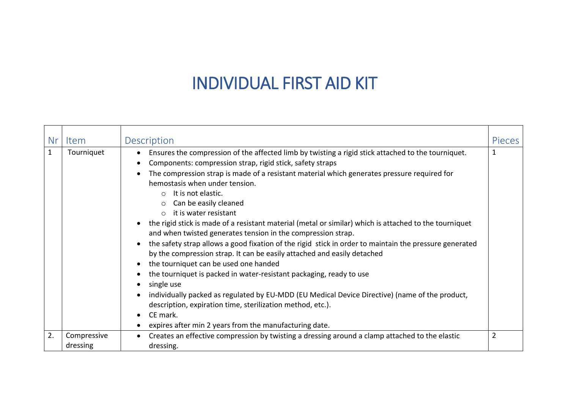## INDIVIDUAL FIRST AID KIT

| Nr           | Item                    | Description                                                                                                                                                                                                                                                                                                                                                                                                                                                                                                                                                                                                                                                                                                                                                                                                                                                                                                                                                                                                                                                                                                                                                | <b>Pieces</b> |
|--------------|-------------------------|------------------------------------------------------------------------------------------------------------------------------------------------------------------------------------------------------------------------------------------------------------------------------------------------------------------------------------------------------------------------------------------------------------------------------------------------------------------------------------------------------------------------------------------------------------------------------------------------------------------------------------------------------------------------------------------------------------------------------------------------------------------------------------------------------------------------------------------------------------------------------------------------------------------------------------------------------------------------------------------------------------------------------------------------------------------------------------------------------------------------------------------------------------|---------------|
| $\mathbf{1}$ | Tourniquet              | Ensures the compression of the affected limb by twisting a rigid stick attached to the tourniquet.<br>$\bullet$<br>Components: compression strap, rigid stick, safety straps<br>The compression strap is made of a resistant material which generates pressure required for<br>hemostasis when under tension.<br>It is not elastic.<br>$\circ$<br>Can be easily cleaned<br>it is water resistant<br>$\cap$<br>the rigid stick is made of a resistant material (metal or similar) which is attached to the tourniquet<br>and when twisted generates tension in the compression strap.<br>the safety strap allows a good fixation of the rigid stick in order to maintain the pressure generated<br>$\bullet$<br>by the compression strap. It can be easily attached and easily detached<br>the tourniquet can be used one handed<br>the tourniquet is packed in water-resistant packaging, ready to use<br>single use<br>individually packed as regulated by EU-MDD (EU Medical Device Directive) (name of the product,<br>description, expiration time, sterilization method, etc.).<br>CE mark.<br>expires after min 2 years from the manufacturing date. |               |
| 2.           | Compressive<br>dressing | Creates an effective compression by twisting a dressing around a clamp attached to the elastic<br>dressing.                                                                                                                                                                                                                                                                                                                                                                                                                                                                                                                                                                                                                                                                                                                                                                                                                                                                                                                                                                                                                                                | 2             |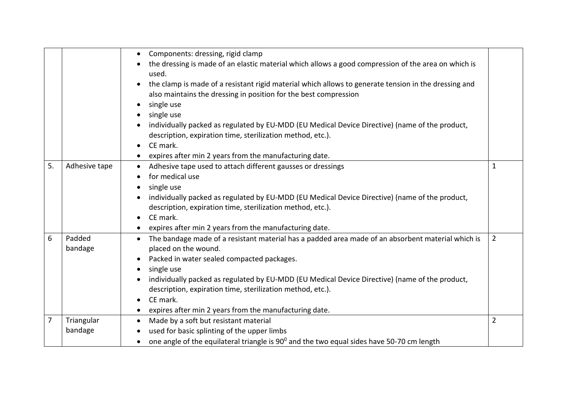|                |                       | Components: dressing, rigid clamp<br>$\bullet$<br>the dressing is made of an elastic material which allows a good compression of the area on which is<br>used.<br>the clamp is made of a resistant rigid material which allows to generate tension in the dressing and<br>also maintains the dressing in position for the best compression<br>single use<br>single use<br>individually packed as regulated by EU-MDD (EU Medical Device Directive) (name of the product,<br>description, expiration time, sterilization method, etc.).<br>CE mark.<br>$\bullet$<br>expires after min 2 years from the manufacturing date. |                |
|----------------|-----------------------|---------------------------------------------------------------------------------------------------------------------------------------------------------------------------------------------------------------------------------------------------------------------------------------------------------------------------------------------------------------------------------------------------------------------------------------------------------------------------------------------------------------------------------------------------------------------------------------------------------------------------|----------------|
| 5.             | Adhesive tape         | Adhesive tape used to attach different gausses or dressings<br>$\bullet$<br>for medical use<br>single use<br>individually packed as regulated by EU-MDD (EU Medical Device Directive) (name of the product,<br>description, expiration time, sterilization method, etc.).<br>CE mark.<br>expires after min 2 years from the manufacturing date.                                                                                                                                                                                                                                                                           | 1              |
| 6              | Padded<br>bandage     | • The bandage made of a resistant material has a padded area made of an absorbent material which is<br>placed on the wound.<br>Packed in water sealed compacted packages.<br>single use<br>individually packed as regulated by EU-MDD (EU Medical Device Directive) (name of the product,<br>description, expiration time, sterilization method, etc.).<br>CE mark.<br>expires after min 2 years from the manufacturing date.                                                                                                                                                                                             | $\overline{2}$ |
| $\overline{7}$ | Triangular<br>bandage | Made by a soft but resistant material<br>$\bullet$<br>used for basic splinting of the upper limbs<br>one angle of the equilateral triangle is 90 <sup>0</sup> and the two equal sides have 50-70 cm length                                                                                                                                                                                                                                                                                                                                                                                                                | $\overline{2}$ |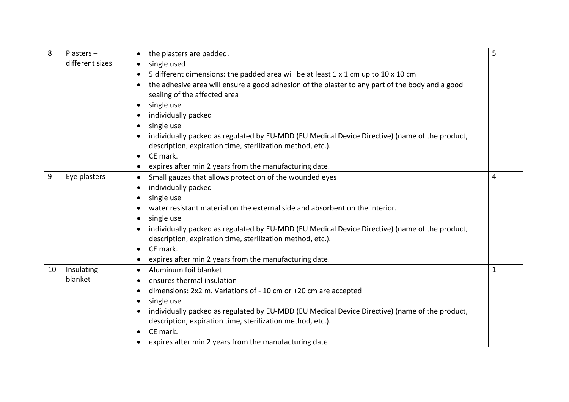| 8  | Plasters-<br>different sizes | the plasters are padded.<br>$\bullet$<br>single used                                                                                                                                                                                                                                                                                                                                                                                                                    | 5 |
|----|------------------------------|-------------------------------------------------------------------------------------------------------------------------------------------------------------------------------------------------------------------------------------------------------------------------------------------------------------------------------------------------------------------------------------------------------------------------------------------------------------------------|---|
|    |                              | 5 different dimensions: the padded area will be at least 1 x 1 cm up to 10 x 10 cm<br>the adhesive area will ensure a good adhesion of the plaster to any part of the body and a good<br>$\bullet$<br>sealing of the affected area                                                                                                                                                                                                                                      |   |
|    |                              | single use<br>$\bullet$<br>individually packed<br>single use                                                                                                                                                                                                                                                                                                                                                                                                            |   |
|    |                              | $\bullet$<br>individually packed as regulated by EU-MDD (EU Medical Device Directive) (name of the product,<br>description, expiration time, sterilization method, etc.).                                                                                                                                                                                                                                                                                               |   |
|    |                              | CE mark.<br>$\bullet$<br>expires after min 2 years from the manufacturing date.                                                                                                                                                                                                                                                                                                                                                                                         |   |
| 9  | Eye plasters                 | Small gauzes that allows protection of the wounded eyes<br>$\bullet$<br>individually packed<br>single use<br>$\bullet$<br>water resistant material on the external side and absorbent on the interior.<br>single use<br>$\bullet$<br>individually packed as regulated by EU-MDD (EU Medical Device Directive) (name of the product,<br>description, expiration time, sterilization method, etc.).<br>CE mark.<br>expires after min 2 years from the manufacturing date. | 4 |
| 10 | Insulating<br>blanket        | Aluminum foil blanket -<br>$\bullet$<br>ensures thermal insulation<br>dimensions: 2x2 m. Variations of - 10 cm or +20 cm are accepted<br>$\bullet$<br>single use<br>individually packed as regulated by EU-MDD (EU Medical Device Directive) (name of the product,<br>description, expiration time, sterilization method, etc.).<br>CE mark.<br>expires after min 2 years from the manufacturing date.                                                                  | 1 |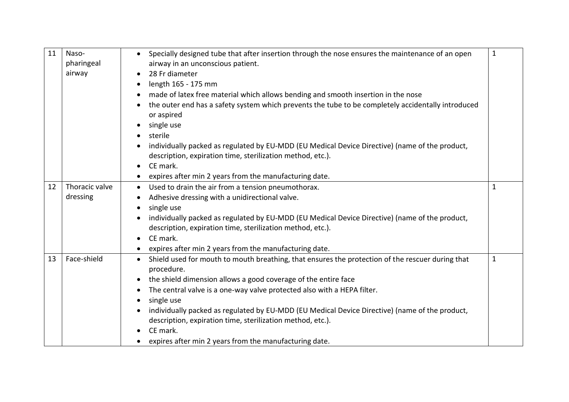| 11 | Naso-<br>pharingeal | Specially designed tube that after insertion through the nose ensures the maintenance of an open<br>airway in an unconscious patient. | $\mathbf{1}$ |
|----|---------------------|---------------------------------------------------------------------------------------------------------------------------------------|--------------|
|    | airway              | 28 Fr diameter                                                                                                                        |              |
|    |                     | length 165 - 175 mm                                                                                                                   |              |
|    |                     | made of latex free material which allows bending and smooth insertion in the nose                                                     |              |
|    |                     | the outer end has a safety system which prevents the tube to be completely accidentally introduced                                    |              |
|    |                     | or aspired                                                                                                                            |              |
|    |                     | single use<br>$\bullet$<br>sterile                                                                                                    |              |
|    |                     | individually packed as regulated by EU-MDD (EU Medical Device Directive) (name of the product,                                        |              |
|    |                     | description, expiration time, sterilization method, etc.).                                                                            |              |
|    |                     | CE mark.<br>$\bullet$                                                                                                                 |              |
|    |                     | expires after min 2 years from the manufacturing date.                                                                                |              |
| 12 | Thoracic valve      | Used to drain the air from a tension pneumothorax.<br>$\bullet$                                                                       | $\mathbf{1}$ |
|    | dressing            | Adhesive dressing with a unidirectional valve.<br>$\bullet$                                                                           |              |
|    |                     | single use                                                                                                                            |              |
|    |                     | individually packed as regulated by EU-MDD (EU Medical Device Directive) (name of the product,                                        |              |
|    |                     | description, expiration time, sterilization method, etc.).                                                                            |              |
|    |                     | CE mark.<br>$\bullet$                                                                                                                 |              |
|    |                     | expires after min 2 years from the manufacturing date.                                                                                |              |
| 13 | Face-shield         | Shield used for mouth to mouth breathing, that ensures the protection of the rescuer during that<br>$\bullet$<br>procedure.           | $\mathbf{1}$ |
|    |                     | the shield dimension allows a good coverage of the entire face                                                                        |              |
|    |                     | The central valve is a one-way valve protected also with a HEPA filter.<br>$\bullet$                                                  |              |
|    |                     | single use                                                                                                                            |              |
|    |                     | individually packed as regulated by EU-MDD (EU Medical Device Directive) (name of the product,                                        |              |
|    |                     | description, expiration time, sterilization method, etc.).                                                                            |              |
|    |                     | CE mark.                                                                                                                              |              |
|    |                     | expires after min 2 years from the manufacturing date.                                                                                |              |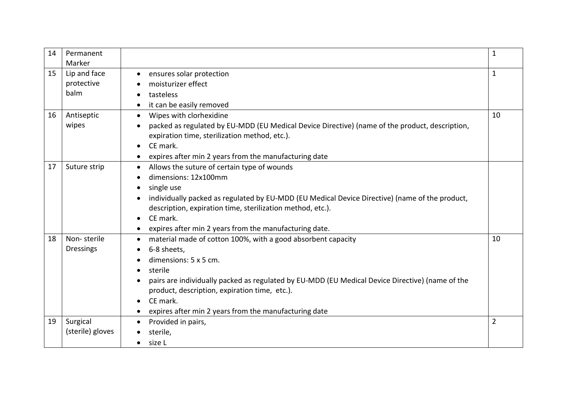| 14 | Permanent<br>Marker                |                                                                                                                                                                                                                                                                                                                                                       | 1              |
|----|------------------------------------|-------------------------------------------------------------------------------------------------------------------------------------------------------------------------------------------------------------------------------------------------------------------------------------------------------------------------------------------------------|----------------|
| 15 | Lip and face<br>protective<br>balm | ensures solar protection<br>$\bullet$<br>moisturizer effect<br>tasteless<br>it can be easily removed                                                                                                                                                                                                                                                  | 1              |
| 16 | Antiseptic<br>wipes                | Wipes with clorhexidine<br>$\bullet$<br>packed as regulated by EU-MDD (EU Medical Device Directive) (name of the product, description,<br>expiration time, sterilization method, etc.).<br>CE mark.<br>$\bullet$<br>expires after min 2 years from the manufacturing date                                                                             | 10             |
| 17 | Suture strip                       | Allows the suture of certain type of wounds<br>$\bullet$<br>dimensions: 12x100mm<br>single use<br>individually packed as regulated by EU-MDD (EU Medical Device Directive) (name of the product,<br>description, expiration time, sterilization method, etc.).<br>CE mark.<br>$\bullet$<br>expires after min 2 years from the manufacturing date.     |                |
| 18 | Non-sterile<br><b>Dressings</b>    | material made of cotton 100%, with a good absorbent capacity<br>6-8 sheets,<br>dimensions: 5 x 5 cm.<br>sterile<br>$\bullet$<br>pairs are individually packed as regulated by EU-MDD (EU Medical Device Directive) (name of the<br>product, description, expiration time, etc.).<br>CE mark.<br>expires after min 2 years from the manufacturing date | 10             |
| 19 | Surgical<br>(sterile) gloves       | Provided in pairs,<br>$\bullet$<br>sterile,<br>size L<br>$\bullet$                                                                                                                                                                                                                                                                                    | $\overline{2}$ |